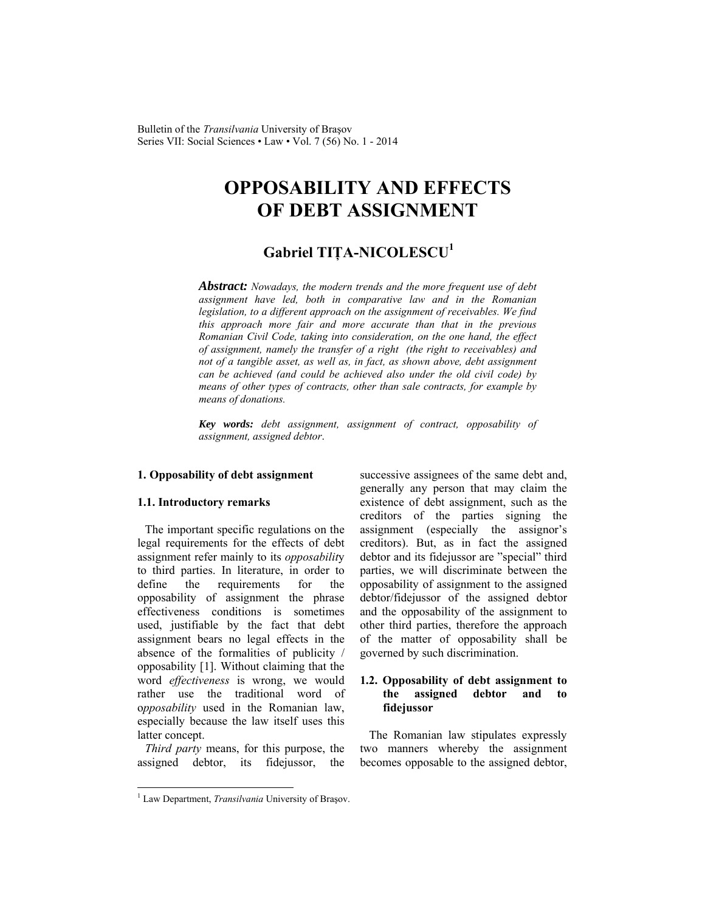Bulletin of the *Transilvania* University of Braşov Series VII: Social Sciences • Law • Vol. 7 (56) No. 1 - 2014

# **OPPOSABILITY AND EFFECTS OF DEBT ASSIGNMENT**

# **Gabriel TIŢA-NICOLESCU<sup>1</sup>**

*Abstract: Nowadays, the modern trends and the more frequent use of debt assignment have led, both in comparative law and in the Romanian legislation, to a different approach on the assignment of receivables. We find this approach more fair and more accurate than that in the previous Romanian Civil Code, taking into consideration, on the one hand, the effect of assignment, namely the transfer of a right (the right to receivables) and not of a tangible asset, as well as, in fact, as shown above, debt assignment can be achieved (and could be achieved also under the old civil code) by means of other types of contracts, other than sale contracts, for example by means of donations.* 

*Key words: debt assignment, assignment of contract, opposability of assignment, assigned debtor*.

#### **1. Opposability of debt assignment**

#### **1.1. Introductory remarks**

The important specific regulations on the legal requirements for the effects of debt assignment refer mainly to its *opposabilit*y to third parties. In literature, in order to define the requirements for the opposability of assignment the phrase effectiveness conditions is sometimes used, justifiable by the fact that debt assignment bears no legal effects in the absence of the formalities of publicity / opposability [1]. Without claiming that the word *effectiveness* is wrong, we would rather use the traditional word of o*pposability* used in the Romanian law, especially because the law itself uses this latter concept.

*Third party* means, for this purpose, the assigned debtor, its fidejussor, the successive assignees of the same debt and, generally any person that may claim the existence of debt assignment, such as the creditors of the parties signing the assignment (especially the assignor's creditors). But, as in fact the assigned debtor and its fidejussor are "special" third parties, we will discriminate between the opposability of assignment to the assigned debtor/fidejussor of the assigned debtor and the opposability of the assignment to other third parties, therefore the approach of the matter of opposability shall be governed by such discrimination.

#### **1.2. Opposability of debt assignment to the assigned debtor and to fidejussor**

The Romanian law stipulates expressly two manners whereby the assignment becomes opposable to the assigned debtor,

 $\overline{\phantom{a}}$ 

<sup>&</sup>lt;sup>1</sup> Law Department, *Transilvania* University of Braşov.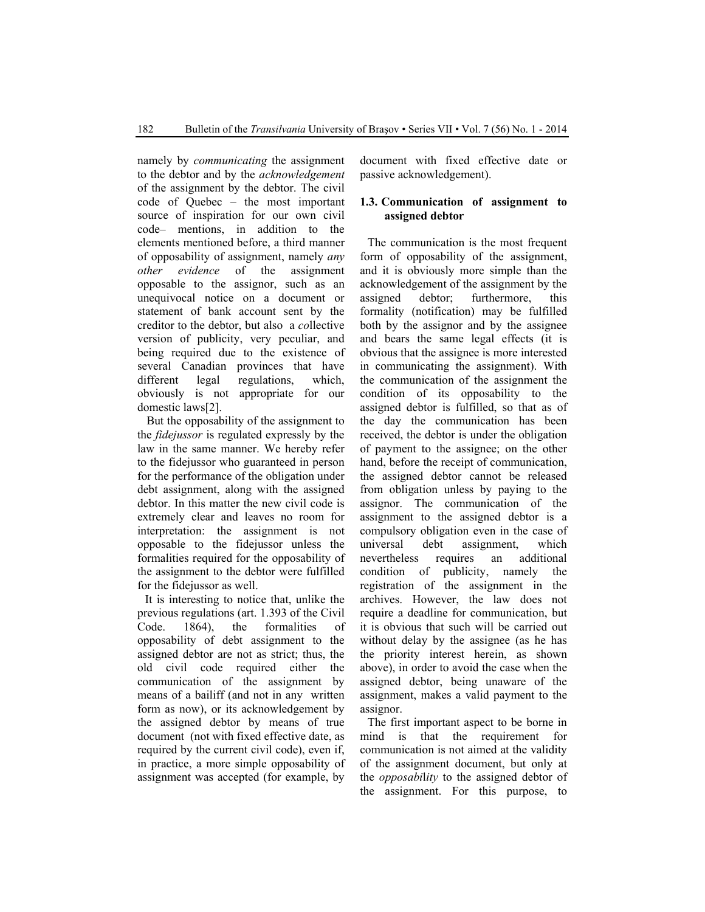namely by *communicating* the assignment to the debtor and by the *acknowledgement*  of the assignment by the debtor. The civil code of Quebec – the most important source of inspiration for our own civil code– mentions, in addition to the elements mentioned before, a third manner of opposability of assignment, namely *any other evidence* of the assignment opposable to the assignor, such as an unequivocal notice on a document or statement of bank account sent by the creditor to the debtor, but also a *co*llective version of publicity, very peculiar, and being required due to the existence of several Canadian provinces that have different legal regulations, which, obviously is not appropriate for our domestic laws[2].

But the opposability of the assignment to the *fidejussor* is regulated expressly by the law in the same manner. We hereby refer to the fidejussor who guaranteed in person for the performance of the obligation under debt assignment, along with the assigned debtor. In this matter the new civil code is extremely clear and leaves no room for interpretation: the assignment is not opposable to the fidejussor unless the formalities required for the opposability of the assignment to the debtor were fulfilled for the fidejussor as well.

It is interesting to notice that, unlike the previous regulations (art. 1.393 of the Civil Code. 1864), the formalities of opposability of debt assignment to the assigned debtor are not as strict; thus, the old civil code required either the communication of the assignment by means of a bailiff (and not in any written form as now), or its acknowledgement by the assigned debtor by means of true document (not with fixed effective date, as required by the current civil code), even if, in practice, a more simple opposability of assignment was accepted (for example, by

document with fixed effective date or passive acknowledgement).

#### **1.3. Communication of assignment to assigned debtor**

The communication is the most frequent form of opposability of the assignment, and it is obviously more simple than the acknowledgement of the assignment by the assigned debtor; furthermore, this formality (notification) may be fulfilled both by the assignor and by the assignee and bears the same legal effects (it is obvious that the assignee is more interested in communicating the assignment). With the communication of the assignment the condition of its opposability to the assigned debtor is fulfilled, so that as of the day the communication has been received, the debtor is under the obligation of payment to the assignee; on the other hand, before the receipt of communication, the assigned debtor cannot be released from obligation unless by paying to the assignor. The communication of the assignment to the assigned debtor is a compulsory obligation even in the case of universal debt assignment, which nevertheless requires an additional condition of publicity, namely the registration of the assignment in the archives. However, the law does not require a deadline for communication, but it is obvious that such will be carried out without delay by the assignee (as he has the priority interest herein, as shown above), in order to avoid the case when the assigned debtor, being unaware of the assignment, makes a valid payment to the assignor.

The first important aspect to be borne in mind is that the requirement for communication is not aimed at the validity of the assignment document, but only at the *opposabi*l*ity* to the assigned debtor of the assignment. For this purpose, to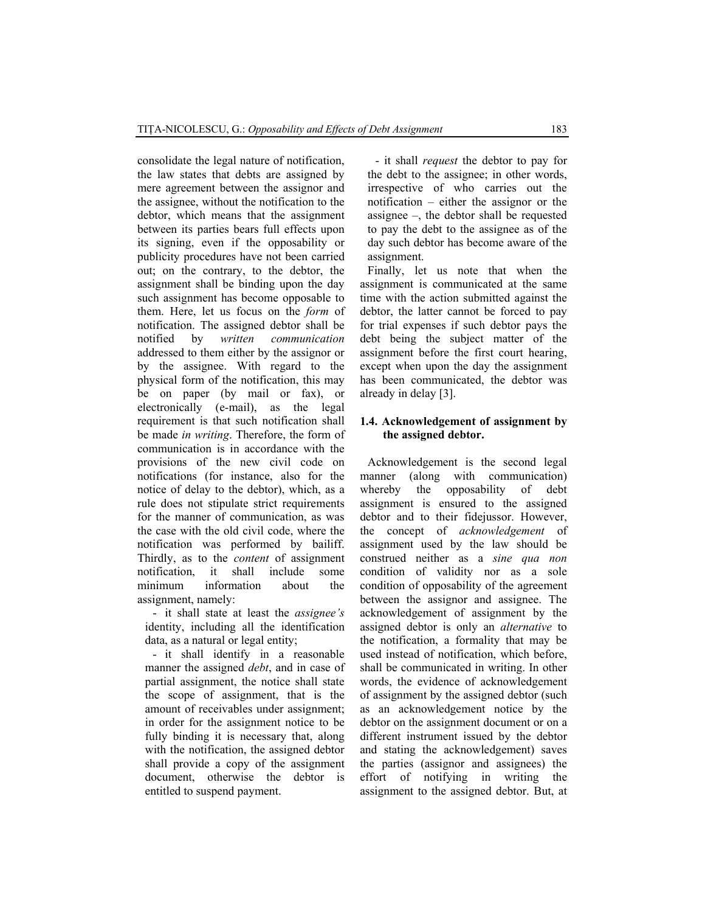consolidate the legal nature of notification, the law states that debts are assigned by mere agreement between the assignor and the assignee, without the notification to the debtor, which means that the assignment between its parties bears full effects upon its signing, even if the opposability or publicity procedures have not been carried out; on the contrary, to the debtor, the assignment shall be binding upon the day such assignment has become opposable to them. Here, let us focus on the *form* of notification. The assigned debtor shall be notified by *written communication* addressed to them either by the assignor or by the assignee. With regard to the physical form of the notification, this may be on paper (by mail or fax), or electronically (e-mail), as the legal requirement is that such notification shall be made *in writing*. Therefore, the form of communication is in accordance with the provisions of the new civil code on notifications (for instance, also for the notice of delay to the debtor), which, as a rule does not stipulate strict requirements for the manner of communication, as was the case with the old civil code, where the notification was performed by bailiff. Thirdly, as to the *content* of assignment notification, it shall include some minimum information about the assignment, namely:

- it shall state at least the *assignee's*  identity, including all the identification data, as a natural or legal entity;

- it shall identify in a reasonable manner the assigned *debt*, and in case of partial assignment, the notice shall state the scope of assignment, that is the amount of receivables under assignment; in order for the assignment notice to be fully binding it is necessary that, along with the notification, the assigned debtor shall provide a copy of the assignment document, otherwise the debtor is entitled to suspend payment.

- it shall *request* the debtor to pay for the debt to the assignee; in other words, irrespective of who carries out the notification – either the assignor or the assignee –, the debtor shall be requested to pay the debt to the assignee as of the day such debtor has become aware of the assignment.

Finally, let us note that when the assignment is communicated at the same time with the action submitted against the debtor, the latter cannot be forced to pay for trial expenses if such debtor pays the debt being the subject matter of the assignment before the first court hearing, except when upon the day the assignment has been communicated, the debtor was already in delay [3].

## **1.4. Acknowledgement of assignment by the assigned debtor.**

Acknowledgement is the second legal manner (along with communication) whereby the opposability of debt assignment is ensured to the assigned debtor and to their fidejussor. However, the concept of *acknowledgement* of assignment used by the law should be construed neither as a *sine qua non* condition of validity nor as a sole condition of opposability of the agreement between the assignor and assignee. The acknowledgement of assignment by the assigned debtor is only an *alternative* to the notification, a formality that may be used instead of notification, which before, shall be communicated in writing. In other words, the evidence of acknowledgement of assignment by the assigned debtor (such as an acknowledgement notice by the debtor on the assignment document or on a different instrument issued by the debtor and stating the acknowledgement) saves the parties (assignor and assignees) the effort of notifying in writing the assignment to the assigned debtor. But, at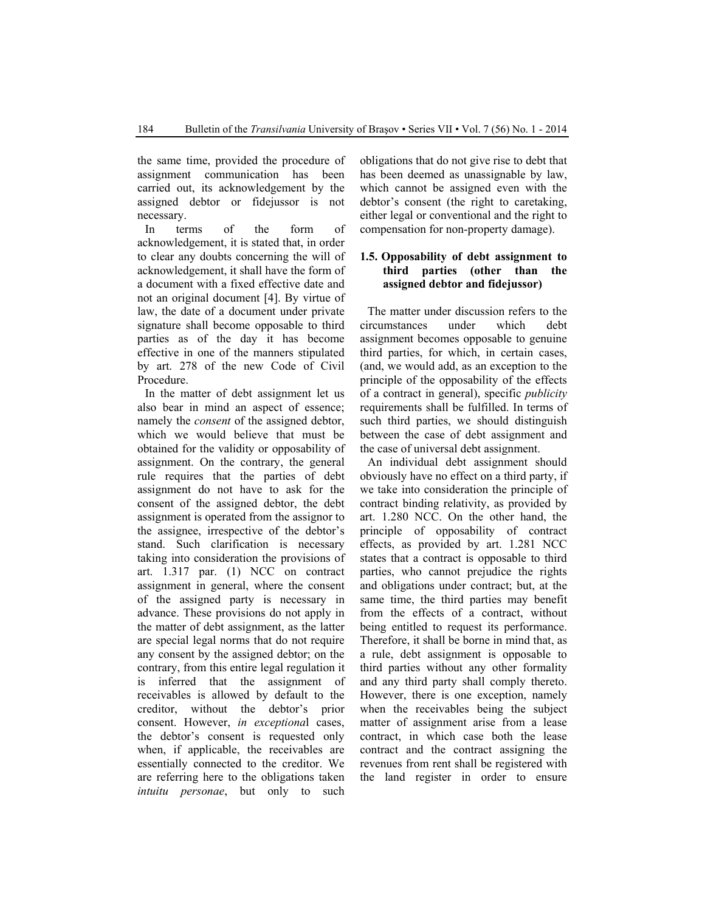the same time, provided the procedure of assignment communication has been carried out, its acknowledgement by the assigned debtor or fidejussor is not necessary.

In terms of the form of acknowledgement, it is stated that, in order to clear any doubts concerning the will of acknowledgement, it shall have the form of a document with a fixed effective date and not an original document [4]. By virtue of law, the date of a document under private signature shall become opposable to third parties as of the day it has become effective in one of the manners stipulated by art. 278 of the new Code of Civil Procedure.

In the matter of debt assignment let us also bear in mind an aspect of essence; namely the *consent* of the assigned debtor, which we would believe that must be obtained for the validity or opposability of assignment. On the contrary, the general rule requires that the parties of debt assignment do not have to ask for the consent of the assigned debtor, the debt assignment is operated from the assignor to the assignee, irrespective of the debtor's stand. Such clarification is necessary taking into consideration the provisions of art. 1.317 par. (1) NCC on contract assignment in general, where the consent of the assigned party is necessary in advance. These provisions do not apply in the matter of debt assignment, as the latter are special legal norms that do not require any consent by the assigned debtor; on the contrary, from this entire legal regulation it is inferred that the assignment of receivables is allowed by default to the creditor, without the debtor's prior consent. However, *in exceptiona*l cases, the debtor's consent is requested only when, if applicable, the receivables are essentially connected to the creditor. We are referring here to the obligations taken *intuitu personae*, but only to such

obligations that do not give rise to debt that has been deemed as unassignable by law, which cannot be assigned even with the debtor's consent (the right to caretaking, either legal or conventional and the right to compensation for non-property damage).

# **1.5. Opposability of debt assignment to third parties (other than the assigned debtor and fidejussor)**

The matter under discussion refers to the circumstances under which debt assignment becomes opposable to genuine third parties, for which, in certain cases, (and, we would add, as an exception to the principle of the opposability of the effects of a contract in general), specific *publicity*  requirements shall be fulfilled. In terms of such third parties, we should distinguish between the case of debt assignment and the case of universal debt assignment.

An individual debt assignment should obviously have no effect on a third party, if we take into consideration the principle of contract binding relativity, as provided by art. 1.280 NCC. On the other hand, the principle of opposability of contract effects, as provided by art. 1.281 NCC states that a contract is opposable to third parties, who cannot prejudice the rights and obligations under contract; but, at the same time, the third parties may benefit from the effects of a contract, without being entitled to request its performance. Therefore, it shall be borne in mind that, as a rule, debt assignment is opposable to third parties without any other formality and any third party shall comply thereto. However, there is one exception, namely when the receivables being the subject matter of assignment arise from a lease contract, in which case both the lease contract and the contract assigning the revenues from rent shall be registered with the land register in order to ensure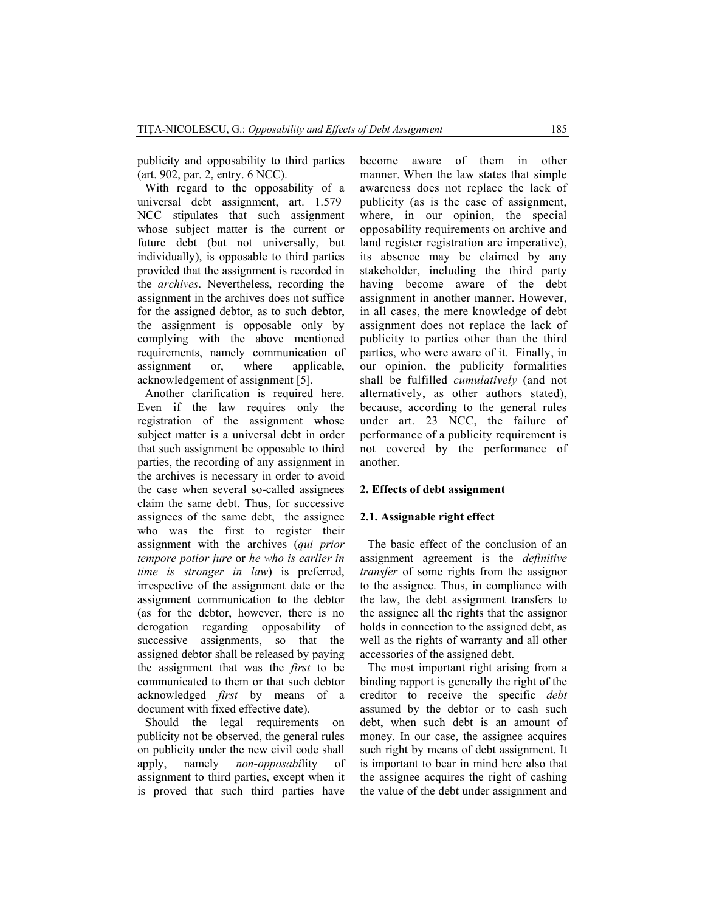publicity and opposability to third parties (art. 902, par. 2, entry. 6 NCC).

With regard to the opposability of a universal debt assignment, art. 1.579 NCC stipulates that such assignment whose subject matter is the current or future debt (but not universally, but individually), is opposable to third parties provided that the assignment is recorded in the *archives*. Nevertheless, recording the assignment in the archives does not suffice for the assigned debtor, as to such debtor, the assignment is opposable only by complying with the above mentioned requirements, namely communication of assignment or, where applicable, acknowledgement of assignment [5].

Another clarification is required here. Even if the law requires only the registration of the assignment whose subject matter is a universal debt in order that such assignment be opposable to third parties, the recording of any assignment in the archives is necessary in order to avoid the case when several so-called assignees claim the same debt. Thus, for successive assignees of the same debt, the assignee who was the first to register their assignment with the archives (*qui prior tempore potior jure* or *he who is earlier in time is stronger in law*) is preferred, irrespective of the assignment date or the assignment communication to the debtor (as for the debtor, however, there is no derogation regarding opposability of successive assignments, so that the assigned debtor shall be released by paying the assignment that was the *first* to be communicated to them or that such debtor acknowledged *first* by means of a document with fixed effective date).

Should the legal requirements on publicity not be observed, the general rules on publicity under the new civil code shall apply, namely *non-opposabi*lity of assignment to third parties, except when it is proved that such third parties have

become aware of them in other manner. When the law states that simple awareness does not replace the lack of publicity (as is the case of assignment, where, in our opinion, the special opposability requirements on archive and land register registration are imperative), its absence may be claimed by any stakeholder, including the third party having become aware of the debt assignment in another manner. However, in all cases, the mere knowledge of debt assignment does not replace the lack of publicity to parties other than the third parties, who were aware of it. Finally, in our opinion, the publicity formalities shall be fulfilled *cumulatively* (and not alternatively, as other authors stated), because, according to the general rules under art. 23 NCC, the failure of performance of a publicity requirement is not covered by the performance of another.

#### **2. Effects of debt assignment**

#### **2.1. Assignable right effect**

The basic effect of the conclusion of an assignment agreement is the *definitive transfer* of some rights from the assignor to the assignee. Thus, in compliance with the law, the debt assignment transfers to the assignee all the rights that the assignor holds in connection to the assigned debt, as well as the rights of warranty and all other accessories of the assigned debt.

The most important right arising from a binding rapport is generally the right of the creditor to receive the specific *debt* assumed by the debtor or to cash such debt, when such debt is an amount of money. In our case, the assignee acquires such right by means of debt assignment. It is important to bear in mind here also that the assignee acquires the right of cashing the value of the debt under assignment and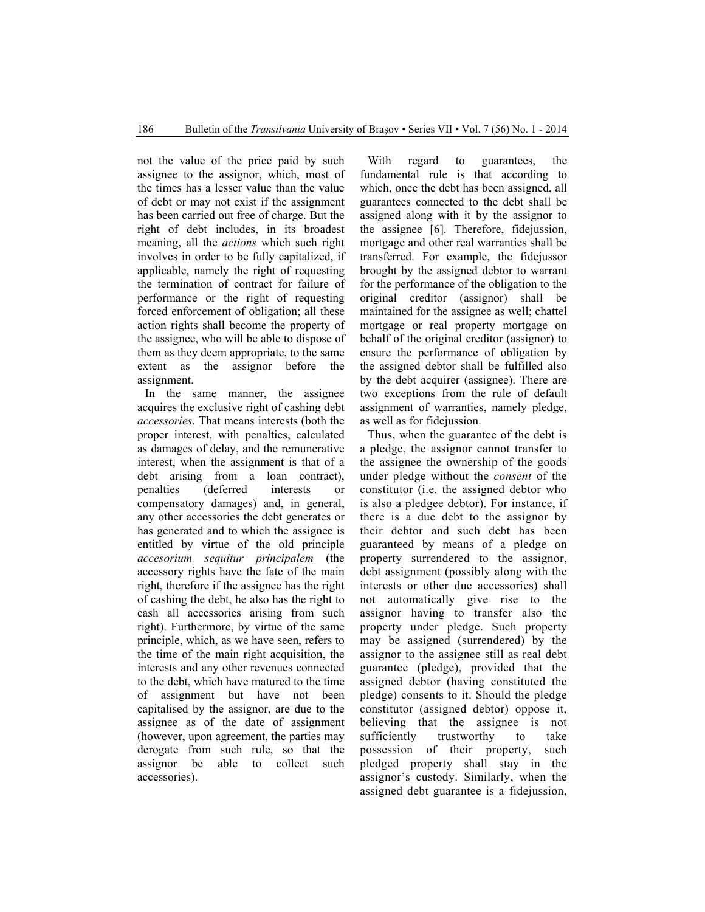not the value of the price paid by such assignee to the assignor, which, most of the times has a lesser value than the value of debt or may not exist if the assignment has been carried out free of charge. But the right of debt includes, in its broadest meaning, all the *actions* which such right involves in order to be fully capitalized, if applicable, namely the right of requesting the termination of contract for failure of performance or the right of requesting forced enforcement of obligation; all these action rights shall become the property of the assignee, who will be able to dispose of them as they deem appropriate, to the same extent as the assignor before the assignment.

In the same manner, the assignee acquires the exclusive right of cashing debt *accessories*. That means interests (both the proper interest, with penalties, calculated as damages of delay, and the remunerative interest, when the assignment is that of a debt arising from a loan contract), penalties (deferred interests or compensatory damages) and, in general, any other accessories the debt generates or has generated and to which the assignee is entitled by virtue of the old principle *accesorium sequitur principalem* (the accessory rights have the fate of the main right, therefore if the assignee has the right of cashing the debt, he also has the right to cash all accessories arising from such right). Furthermore, by virtue of the same principle, which, as we have seen, refers to the time of the main right acquisition, the interests and any other revenues connected to the debt, which have matured to the time of assignment but have not been capitalised by the assignor, are due to the assignee as of the date of assignment (however, upon agreement, the parties may derogate from such rule, so that the assignor be able to collect such accessories).

With regard to guarantees, the fundamental rule is that according to which, once the debt has been assigned, all guarantees connected to the debt shall be assigned along with it by the assignor to the assignee [6]. Therefore, fidejussion, mortgage and other real warranties shall be transferred. For example, the fidejussor brought by the assigned debtor to warrant for the performance of the obligation to the original creditor (assignor) shall be maintained for the assignee as well; chattel mortgage or real property mortgage on behalf of the original creditor (assignor) to ensure the performance of obligation by the assigned debtor shall be fulfilled also by the debt acquirer (assignee). There are two exceptions from the rule of default assignment of warranties, namely pledge, as well as for fidejussion.

Thus, when the guarantee of the debt is a pledge, the assignor cannot transfer to the assignee the ownership of the goods under pledge without the *consent* of the constitutor (i.e. the assigned debtor who is also a pledgee debtor). For instance, if there is a due debt to the assignor by their debtor and such debt has been guaranteed by means of a pledge on property surrendered to the assignor, debt assignment (possibly along with the interests or other due accessories) shall not automatically give rise to the assignor having to transfer also the property under pledge. Such property may be assigned (surrendered) by the assignor to the assignee still as real debt guarantee (pledge), provided that the assigned debtor (having constituted the pledge) consents to it. Should the pledge constitutor (assigned debtor) oppose it, believing that the assignee is not sufficiently trustworthy to take possession of their property, such pledged property shall stay in the assignor's custody. Similarly, when the assigned debt guarantee is a fidejussion,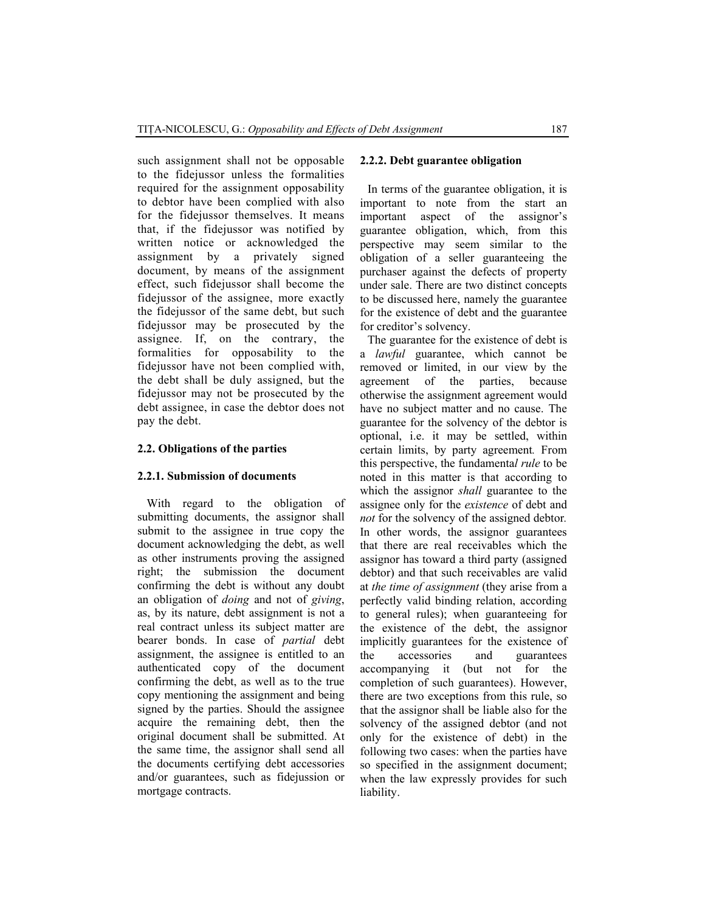such assignment shall not be opposable to the fidejussor unless the formalities required for the assignment opposability to debtor have been complied with also for the fidejussor themselves. It means that, if the fidejussor was notified by written notice or acknowledged the assignment by a privately signed document, by means of the assignment effect, such fidejussor shall become the fidejussor of the assignee, more exactly the fidejussor of the same debt, but such fidejussor may be prosecuted by the assignee. If, on the contrary, the formalities for opposability to the fidejussor have not been complied with, the debt shall be duly assigned, but the fidejussor may not be prosecuted by the debt assignee, in case the debtor does not pay the debt.

#### **2.2. Obligations of the parties**

#### **2.2.1. Submission of documents**

With regard to the obligation of submitting documents, the assignor shall submit to the assignee in true copy the document acknowledging the debt, as well as other instruments proving the assigned right; the submission the document confirming the debt is without any doubt an obligation of *doing* and not of *giving*, as, by its nature, debt assignment is not a real contract unless its subject matter are bearer bonds. In case of *partial* debt assignment, the assignee is entitled to an authenticated copy of the document confirming the debt, as well as to the true copy mentioning the assignment and being signed by the parties. Should the assignee acquire the remaining debt, then the original document shall be submitted. At the same time, the assignor shall send all the documents certifying debt accessories and/or guarantees, such as fidejussion or mortgage contracts.

#### **2.2.2. Debt guarantee obligation**

In terms of the guarantee obligation, it is important to note from the start an important aspect of the assignor's guarantee obligation, which, from this perspective may seem similar to the obligation of a seller guaranteeing the purchaser against the defects of property under sale. There are two distinct concepts to be discussed here, namely the guarantee for the existence of debt and the guarantee for creditor's solvency.

The guarantee for the existence of debt is a *lawful* guarantee, which cannot be removed or limited, in our view by the agreement of the parties, because otherwise the assignment agreement would have no subject matter and no cause. The guarantee for the solvency of the debtor is optional, i.e. it may be settled, within certain limits, by party agreement*.* From this perspective, the fundamenta*l rule* to be noted in this matter is that according to which the assignor *shall* guarantee to the assignee only for the *existence* of debt and *not* for the solvency of the assigned debtor*.*  In other words, the assignor guarantees that there are real receivables which the assignor has toward a third party (assigned debtor) and that such receivables are valid at *the time of assignment* (they arise from a perfectly valid binding relation, according to general rules); when guaranteeing for the existence of the debt, the assignor implicitly guarantees for the existence of the accessories and guarantees accompanying it (but not for the completion of such guarantees). However, there are two exceptions from this rule, so that the assignor shall be liable also for the solvency of the assigned debtor (and not only for the existence of debt) in the following two cases: when the parties have so specified in the assignment document; when the law expressly provides for such liability.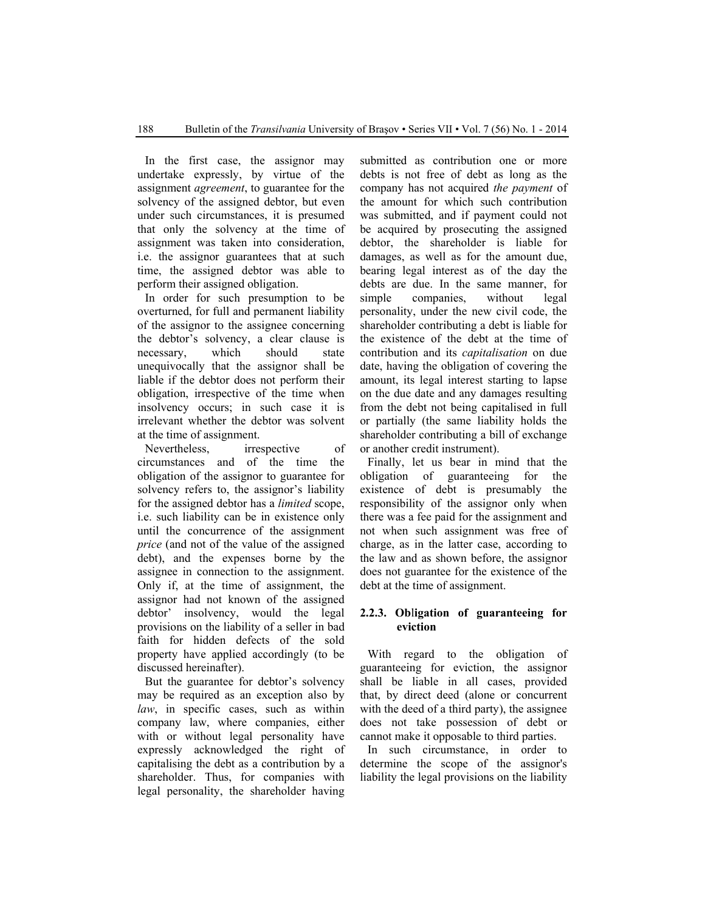In the first case, the assignor may undertake expressly, by virtue of the assignment *agreement*, to guarantee for the solvency of the assigned debtor, but even under such circumstances, it is presumed that only the solvency at the time of assignment was taken into consideration, i.e. the assignor guarantees that at such time, the assigned debtor was able to perform their assigned obligation.

In order for such presumption to be overturned, for full and permanent liability of the assignor to the assignee concerning the debtor's solvency, a clear clause is necessary, which should state unequivocally that the assignor shall be liable if the debtor does not perform their obligation, irrespective of the time when insolvency occurs; in such case it is irrelevant whether the debtor was solvent at the time of assignment.

Nevertheless, irrespective of circumstances and of the time the obligation of the assignor to guarantee for solvency refers to, the assignor's liability for the assigned debtor has a *limited* scope, i.e. such liability can be in existence only until the concurrence of the assignment *price* (and not of the value of the assigned debt), and the expenses borne by the assignee in connection to the assignment. Only if, at the time of assignment, the assignor had not known of the assigned debtor' insolvency, would the legal provisions on the liability of a seller in bad faith for hidden defects of the sold property have applied accordingly (to be discussed hereinafter).

But the guarantee for debtor's solvency may be required as an exception also by *law*, in specific cases, such as within company law, where companies, either with or without legal personality have expressly acknowledged the right of capitalising the debt as a contribution by a shareholder. Thus, for companies with legal personality, the shareholder having submitted as contribution one or more debts is not free of debt as long as the company has not acquired *the payment* of the amount for which such contribution was submitted, and if payment could not be acquired by prosecuting the assigned debtor, the shareholder is liable for damages, as well as for the amount due, bearing legal interest as of the day the debts are due. In the same manner, for simple companies, without legal personality, under the new civil code, the shareholder contributing a debt is liable for the existence of the debt at the time of contribution and its *capitalisation* on due date, having the obligation of covering the amount, its legal interest starting to lapse on the due date and any damages resulting from the debt not being capitalised in full or partially (the same liability holds the shareholder contributing a bill of exchange or another credit instrument).

Finally, let us bear in mind that the obligation of guaranteeing for the existence of debt is presumably the responsibility of the assignor only when there was a fee paid for the assignment and not when such assignment was free of charge, as in the latter case, according to the law and as shown before, the assignor does not guarantee for the existence of the debt at the time of assignment.

## **2.2.3. Ob**l**igation of guaranteeing for eviction**

With regard to the obligation of guaranteeing for eviction, the assignor shall be liable in all cases, provided that, by direct deed (alone or concurrent with the deed of a third party), the assignee does not take possession of debt or cannot make it opposable to third parties.

In such circumstance, in order to determine the scope of the assignor's liability the legal provisions on the liability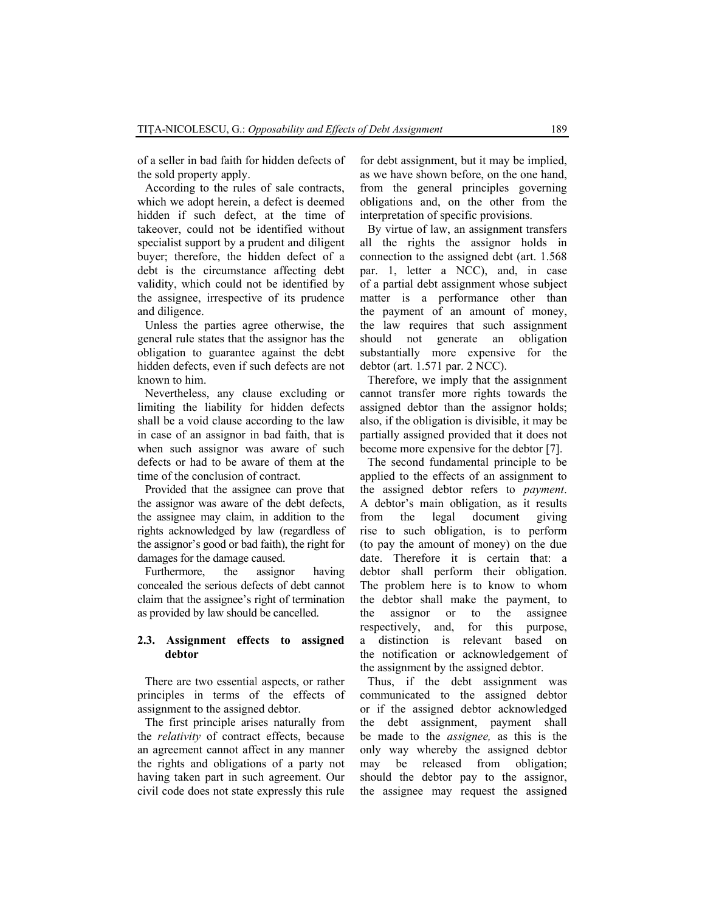of a seller in bad faith for hidden defects of the sold property apply.

According to the rules of sale contracts, which we adopt herein, a defect is deemed hidden if such defect, at the time of takeover, could not be identified without specialist support by a prudent and diligent buyer; therefore, the hidden defect of a debt is the circumstance affecting debt validity, which could not be identified by the assignee, irrespective of its prudence and diligence.

Unless the parties agree otherwise, the general rule states that the assignor has the obligation to guarantee against the debt hidden defects, even if such defects are not known to him.

Nevertheless, any clause excluding or limiting the liability for hidden defects shall be a void clause according to the law in case of an assignor in bad faith, that is when such assignor was aware of such defects or had to be aware of them at the time of the conclusion of contract.

Provided that the assignee can prove that the assignor was aware of the debt defects, the assignee may claim, in addition to the rights acknowledged by law (regardless of the assignor's good or bad faith), the right for damages for the damage caused.

Furthermore, the assignor having concealed the serious defects of debt cannot claim that the assignee's right of termination as provided by law should be cancelled.

#### **2.3. Assignment effects to assigned debtor**

There are two essential aspects, or rather principles in terms of the effects of assignment to the assigned debtor.

The first principle arises naturally from the *relativity* of contract effects, because an agreement cannot affect in any manner the rights and obligations of a party not having taken part in such agreement. Our civil code does not state expressly this rule for debt assignment, but it may be implied, as we have shown before, on the one hand, from the general principles governing obligations and, on the other from the interpretation of specific provisions.

By virtue of law, an assignment transfers all the rights the assignor holds in connection to the assigned debt (art. 1.568 par. 1, letter a NCC), and, in case of a partial debt assignment whose subject matter is a performance other than the payment of an amount of money, the law requires that such assignment should not generate an obligation substantially more expensive for the debtor (art. 1.571 par. 2 NCC).

Therefore, we imply that the assignment cannot transfer more rights towards the assigned debtor than the assignor holds; also, if the obligation is divisible, it may be partially assigned provided that it does not become more expensive for the debtor [7].

The second fundamental principle to be applied to the effects of an assignment to the assigned debtor refers to *payment*. A debtor's main obligation, as it results from the legal document giving rise to such obligation, is to perform (to pay the amount of money) on the due date. Therefore it is certain that: a debtor shall perform their obligation. The problem here is to know to whom the debtor shall make the payment, to the assignor or to the assignee respectively, and, for this purpose, a distinction is relevant based on the notification or acknowledgement of the assignment by the assigned debtor.

Thus, if the debt assignment was communicated to the assigned debtor or if the assigned debtor acknowledged the debt assignment, payment shall be made to the *assignee,* as this is the only way whereby the assigned debtor may be released from obligation; should the debtor pay to the assignor, the assignee may request the assigned